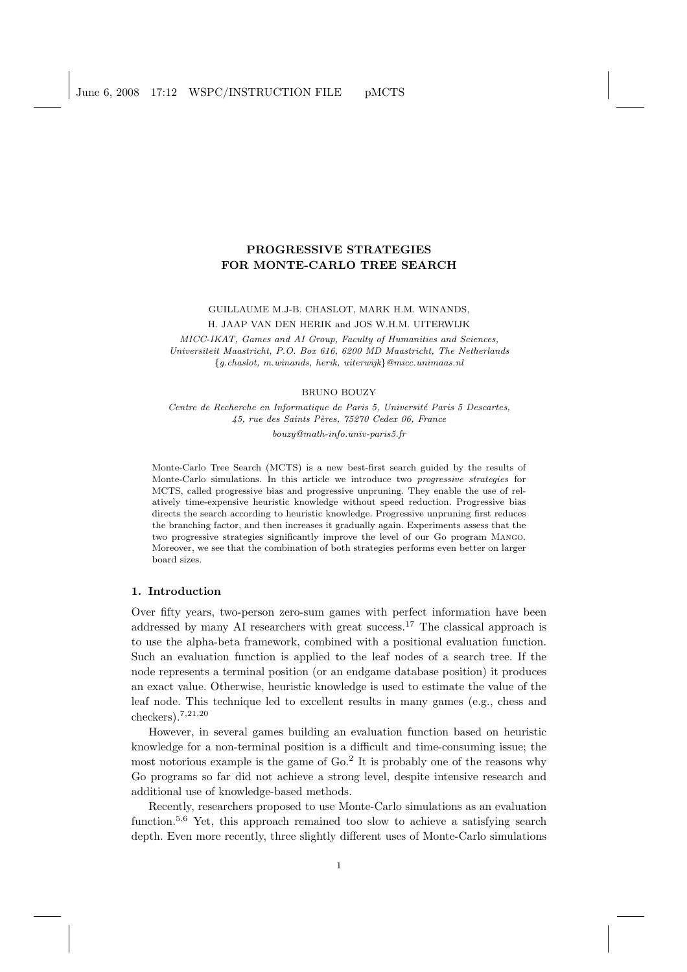# PROGRESSIVE STRATEGIES FOR MONTE-CARLO TREE SEARCH

GUILLAUME M.J-B. CHASLOT, MARK H.M. WINANDS, H. JAAP VAN DEN HERIK and JOS W.H.M. UITERWIJK

MICC-IKAT, Games and AI Group, Faculty of Humanities and Sciences, Universiteit Maastricht, P.O. Box 616, 6200 MD Maastricht, The Netherlands {g.chaslot, m.winands, herik, uiterwijk}@micc.unimaas.nl

#### BRUNO BOUZY

Centre de Recherche en Informatique de Paris 5, Université Paris 5 Descartes, 45, rue des Saints Pères, 75270 Cedex 06, France

bouzy@math-info.univ-paris5.fr

Monte-Carlo Tree Search (MCTS) is a new best-first search guided by the results of Monte-Carlo simulations. In this article we introduce two progressive strategies for MCTS, called progressive bias and progressive unpruning. They enable the use of relatively time-expensive heuristic knowledge without speed reduction. Progressive bias directs the search according to heuristic knowledge. Progressive unpruning first reduces the branching factor, and then increases it gradually again. Experiments assess that the two progressive strategies significantly improve the level of our Go program Mango. Moreover, we see that the combination of both strategies performs even better on larger board sizes.

## 1. Introduction

Over fifty years, two-person zero-sum games with perfect information have been addressed by many AI researchers with great success.<sup>17</sup> The classical approach is to use the alpha-beta framework, combined with a positional evaluation function. Such an evaluation function is applied to the leaf nodes of a search tree. If the node represents a terminal position (or an endgame database position) it produces an exact value. Otherwise, heuristic knowledge is used to estimate the value of the leaf node. This technique led to excellent results in many games (e.g., chess and checkers).<sup>7</sup>,21,<sup>20</sup>

However, in several games building an evaluation function based on heuristic knowledge for a non-terminal position is a difficult and time-consuming issue; the most notorious example is the game of Go.<sup>2</sup> It is probably one of the reasons why Go programs so far did not achieve a strong level, despite intensive research and additional use of knowledge-based methods.

Recently, researchers proposed to use Monte-Carlo simulations as an evaluation function.<sup>5,6</sup> Yet, this approach remained too slow to achieve a satisfying search depth. Even more recently, three slightly different uses of Monte-Carlo simulations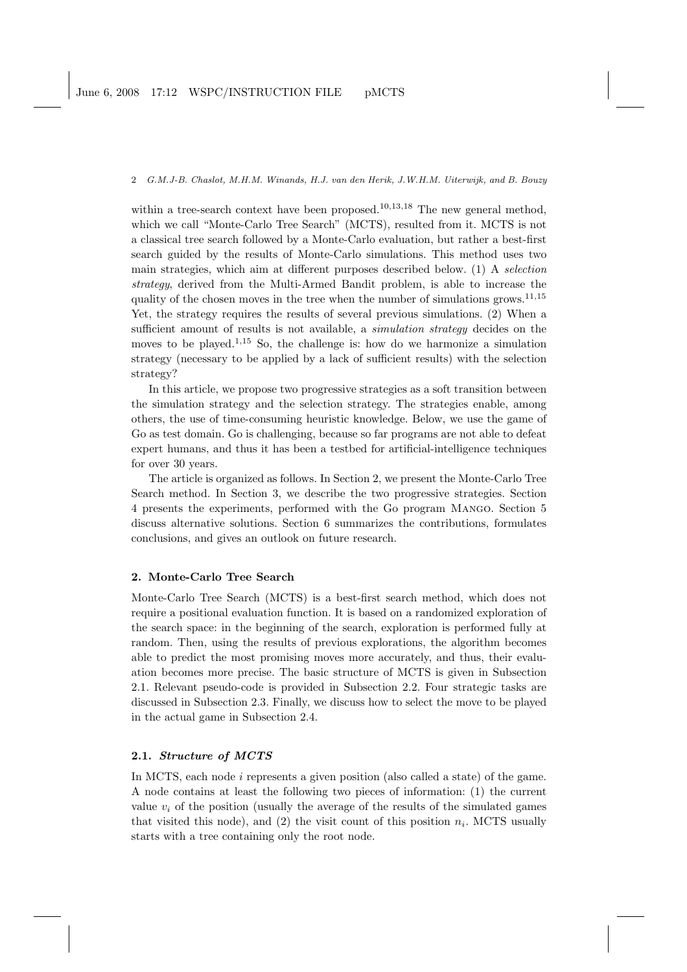within a tree-search context have been proposed.<sup>10,13,18</sup> The new general method, which we call "Monte-Carlo Tree Search" (MCTS), resulted from it. MCTS is not a classical tree search followed by a Monte-Carlo evaluation, but rather a best-first search guided by the results of Monte-Carlo simulations. This method uses two main strategies, which aim at different purposes described below. (1) A selection strategy, derived from the Multi-Armed Bandit problem, is able to increase the quality of the chosen moves in the tree when the number of simulations grows.<sup>11,15</sup> Yet, the strategy requires the results of several previous simulations. (2) When a sufficient amount of results is not available, a *simulation strategy* decides on the moves to be played.<sup>1,15</sup> So, the challenge is: how do we harmonize a simulation strategy (necessary to be applied by a lack of sufficient results) with the selection strategy?

In this article, we propose two progressive strategies as a soft transition between the simulation strategy and the selection strategy. The strategies enable, among others, the use of time-consuming heuristic knowledge. Below, we use the game of Go as test domain. Go is challenging, because so far programs are not able to defeat expert humans, and thus it has been a testbed for artificial-intelligence techniques for over 30 years.

The article is organized as follows. In Section 2, we present the Monte-Carlo Tree Search method. In Section 3, we describe the two progressive strategies. Section 4 presents the experiments, performed with the Go program Mango. Section 5 discuss alternative solutions. Section 6 summarizes the contributions, formulates conclusions, and gives an outlook on future research.

# 2. Monte-Carlo Tree Search

Monte-Carlo Tree Search (MCTS) is a best-first search method, which does not require a positional evaluation function. It is based on a randomized exploration of the search space: in the beginning of the search, exploration is performed fully at random. Then, using the results of previous explorations, the algorithm becomes able to predict the most promising moves more accurately, and thus, their evaluation becomes more precise. The basic structure of MCTS is given in Subsection 2.1. Relevant pseudo-code is provided in Subsection 2.2. Four strategic tasks are discussed in Subsection 2.3. Finally, we discuss how to select the move to be played in the actual game in Subsection 2.4.

## 2.1. Structure of MCTS

In MCTS, each node i represents a given position (also called a state) of the game. A node contains at least the following two pieces of information: (1) the current value  $v_i$  of the position (usually the average of the results of the simulated games that visited this node), and (2) the visit count of this position  $n_i$ . MCTS usually starts with a tree containing only the root node.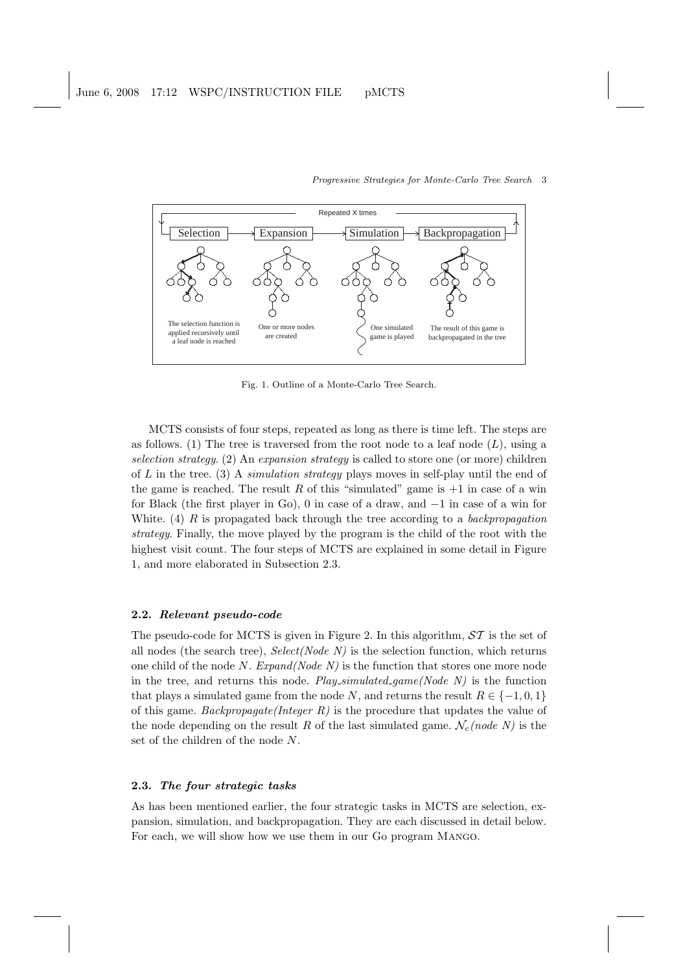

Fig. 1. Outline of a Monte-Carlo Tree Search.

MCTS consists of four steps, repeated as long as there is time left. The steps are as follows. (1) The tree is traversed from the root node to a leaf node  $(L)$ , using a selection strategy. (2) An expansion strategy is called to store one (or more) children of  $L$  in the tree. (3) A *simulation strategy* plays moves in self-play until the end of the game is reached. The result R of this "simulated" game is  $+1$  in case of a win for Black (the first player in Go), 0 in case of a draw, and −1 in case of a win for White. (4)  $R$  is propagated back through the tree according to a backpropagation strategy. Finally, the move played by the program is the child of the root with the highest visit count. The four steps of MCTS are explained in some detail in Figure 1, and more elaborated in Subsection 2.3.

# 2.2. Relevant pseudo-code

The pseudo-code for MCTS is given in Figure 2. In this algorithm,  $ST$  is the set of all nodes (the search tree),  $Select(Node N)$  is the selection function, which returns one child of the node N.  $Expand(Node N)$  is the function that stores one more node in the tree, and returns this node.  $Play\_simulated\_game(Node\ N)$  is the function that plays a simulated game from the node N, and returns the result  $R \in \{-1, 0, 1\}$ of this game. Backpropagate(Integer  $R$ ) is the procedure that updates the value of the node depending on the result R of the last simulated game.  $\mathcal{N}_c(node\ N)$  is the set of the children of the node N.

### 2.3. The four strategic tasks

As has been mentioned earlier, the four strategic tasks in MCTS are selection, expansion, simulation, and backpropagation. They are each discussed in detail below. For each, we will show how we use them in our Go program Mango.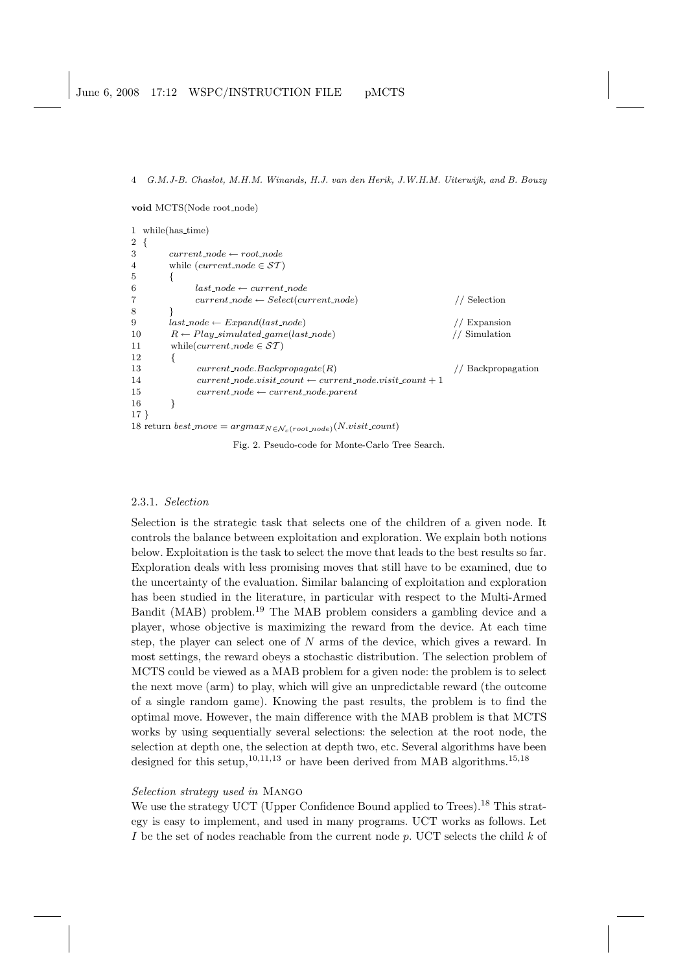void MCTS(Node root node)

|                   | 1 while(has_time)                                                                |                 |  |  |  |  |
|-------------------|----------------------------------------------------------------------------------|-----------------|--|--|--|--|
| $2 \sqrt{ }$<br>3 | $current\_node \leftarrow root\_node$                                            |                 |  |  |  |  |
| 4                 | while ( <i>current_node</i> $\in$ <i>ST</i> )                                    |                 |  |  |  |  |
| 5                 |                                                                                  |                 |  |  |  |  |
| 6                 | $last\_node \leftarrow current\_node$                                            |                 |  |  |  |  |
| 7                 | $current\_node \leftarrow Select(current\_node)$                                 | Selection       |  |  |  |  |
| 8                 |                                                                                  |                 |  |  |  |  |
| 9                 | $last\_node \leftarrow Expand(last\_node)$                                       | Expansion       |  |  |  |  |
| 10                | $R \leftarrow Play\_simulated\text{-}game(last\text{-}node)$                     | Simulation      |  |  |  |  |
| 11                | while( <i>current_node</i> $\in$ <i>ST</i> )                                     |                 |  |  |  |  |
| 12                |                                                                                  |                 |  |  |  |  |
| 13                | $current\_node.Backpropagate(R)$                                                 | Backpropagation |  |  |  |  |
| 14                | $current\_node涨ist\_count \leftarrow current\_node.vist\_count + 1$              |                 |  |  |  |  |
| 15                | $current\_node \leftarrow current\_node.parent$                                  |                 |  |  |  |  |
| 16                |                                                                                  |                 |  |  |  |  |
| $17 \}$           |                                                                                  |                 |  |  |  |  |
|                   | 18 return best_move = $argmax_{N \in \mathcal{N}_c(root\_node)}(N.visit\_count)$ |                 |  |  |  |  |

Fig. 2. Pseudo-code for Monte-Carlo Tree Search.

#### 2.3.1. Selection

Selection is the strategic task that selects one of the children of a given node. It controls the balance between exploitation and exploration. We explain both notions below. Exploitation is the task to select the move that leads to the best results so far. Exploration deals with less promising moves that still have to be examined, due to the uncertainty of the evaluation. Similar balancing of exploitation and exploration has been studied in the literature, in particular with respect to the Multi-Armed Bandit (MAB) problem.<sup>19</sup> The MAB problem considers a gambling device and a player, whose objective is maximizing the reward from the device. At each time step, the player can select one of N arms of the device, which gives a reward. In most settings, the reward obeys a stochastic distribution. The selection problem of MCTS could be viewed as a MAB problem for a given node: the problem is to select the next move (arm) to play, which will give an unpredictable reward (the outcome of a single random game). Knowing the past results, the problem is to find the optimal move. However, the main difference with the MAB problem is that MCTS works by using sequentially several selections: the selection at the root node, the selection at depth one, the selection at depth two, etc. Several algorithms have been designed for this setup,  $^{10,11,13}$  or have been derived from MAB algorithms.<sup>15,18</sup>

# Selection strategy used in Mango

We use the strategy UCT (Upper Confidence Bound applied to Trees).<sup>18</sup> This strategy is easy to implement, and used in many programs. UCT works as follows. Let I be the set of nodes reachable from the current node  $p$ . UCT selects the child  $k$  of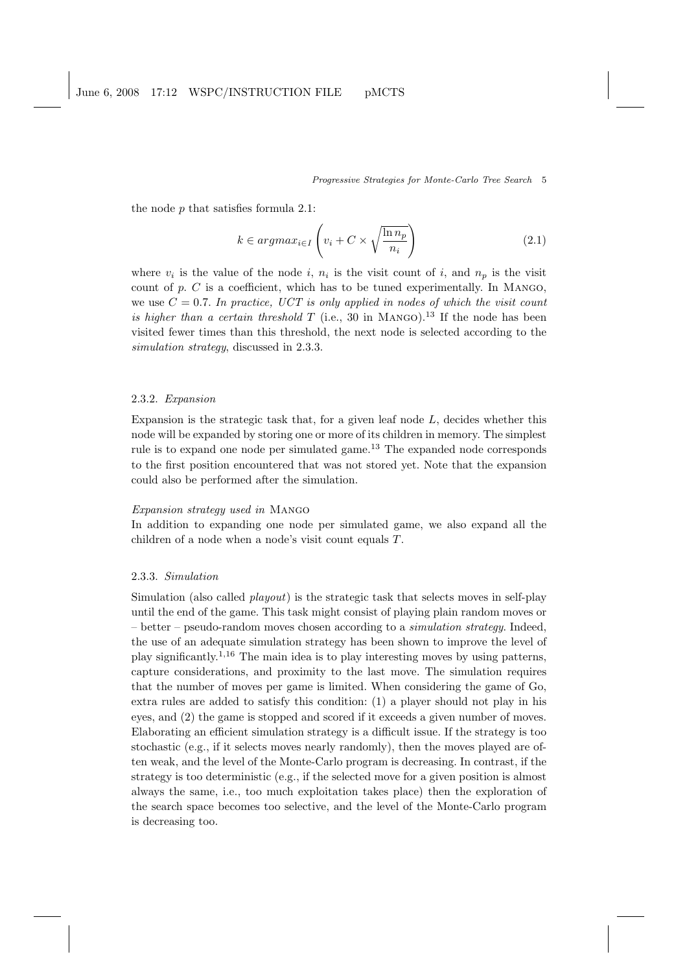the node  $p$  that satisfies formula 2.1:

$$
k \in argmax_{i \in I} \left( v_i + C \times \sqrt{\frac{\ln n_p}{n_i}} \right) \tag{2.1}
$$

where  $v_i$  is the value of the node i,  $n_i$  is the visit count of i, and  $n_p$  is the visit count of p.  $C$  is a coefficient, which has to be tuned experimentally. In MANGO, we use  $C = 0.7$ . In practice, UCT is only applied in nodes of which the visit count is higher than a certain threshold T (i.e., 30 in MANGO).<sup>13</sup> If the node has been visited fewer times than this threshold, the next node is selected according to the simulation strategy, discussed in 2.3.3.

#### 2.3.2. Expansion

Expansion is the strategic task that, for a given leaf node  $L$ , decides whether this node will be expanded by storing one or more of its children in memory. The simplest rule is to expand one node per simulated game.<sup>13</sup> The expanded node corresponds to the first position encountered that was not stored yet. Note that the expansion could also be performed after the simulation.

# Expansion strategy used in Mango

In addition to expanding one node per simulated game, we also expand all the children of a node when a node's visit count equals T.

## 2.3.3. Simulation

Simulation (also called playout) is the strategic task that selects moves in self-play until the end of the game. This task might consist of playing plain random moves or – better – pseudo-random moves chosen according to a *simulation strategy*. Indeed, the use of an adequate simulation strategy has been shown to improve the level of play significantly.<sup>1</sup>,<sup>16</sup> The main idea is to play interesting moves by using patterns, capture considerations, and proximity to the last move. The simulation requires that the number of moves per game is limited. When considering the game of Go, extra rules are added to satisfy this condition: (1) a player should not play in his eyes, and (2) the game is stopped and scored if it exceeds a given number of moves. Elaborating an efficient simulation strategy is a difficult issue. If the strategy is too stochastic (e.g., if it selects moves nearly randomly), then the moves played are often weak, and the level of the Monte-Carlo program is decreasing. In contrast, if the strategy is too deterministic (e.g., if the selected move for a given position is almost always the same, i.e., too much exploitation takes place) then the exploration of the search space becomes too selective, and the level of the Monte-Carlo program is decreasing too.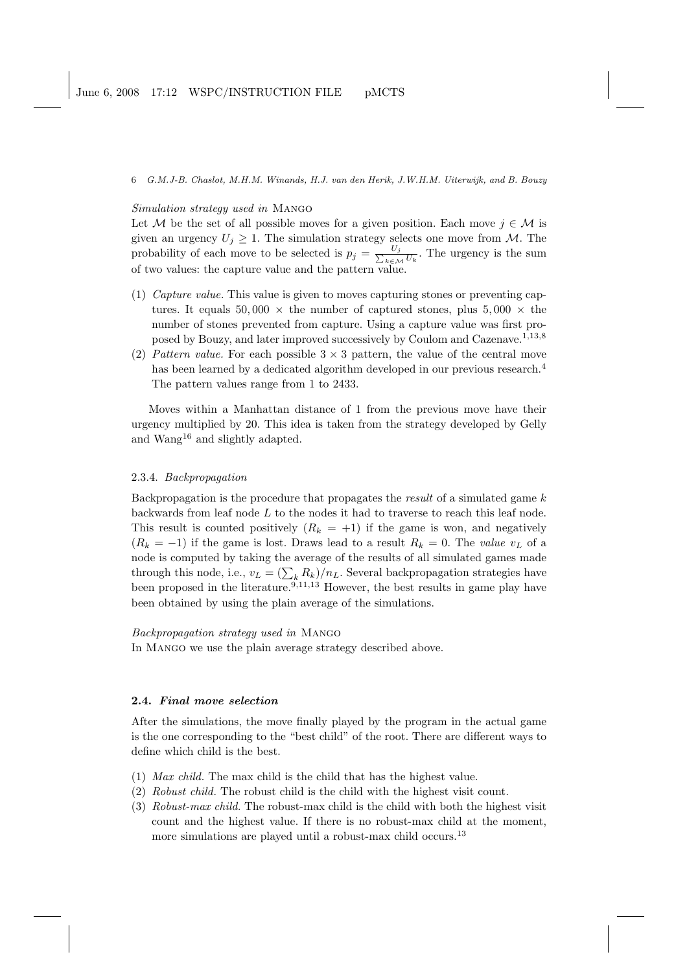## Simulation strategy used in Mango

Let M be the set of all possible moves for a given position. Each move  $j \in \mathcal{M}$  is given an urgency  $U_i \geq 1$ . The simulation strategy selects one move from M. The probability of each move to be selected is  $p_j = \frac{U_j}{\sum_{i=1}^{n} U_i}$  $\frac{U_j}{k \in \mathcal{M}} \overline{U_k}$ . The urgency is the sum of two values: the capture value and the pattern value.

- (1) Capture value. This value is given to moves capturing stones or preventing captures. It equals 50,000  $\times$  the number of captured stones, plus 5,000  $\times$  the number of stones prevented from capture. Using a capture value was first proposed by Bouzy, and later improved successively by Coulom and Cazenave.<sup>1,13,8</sup>
- (2) Pattern value. For each possible  $3 \times 3$  pattern, the value of the central move has been learned by a dedicated algorithm developed in our previous research.<sup>4</sup> The pattern values range from 1 to 2433.

Moves within a Manhattan distance of 1 from the previous move have their urgency multiplied by 20. This idea is taken from the strategy developed by Gelly and Wang<sup>16</sup> and slightly adapted.

#### 2.3.4. Backpropagation

Backpropagation is the procedure that propagates the *result* of a simulated game  $k$ backwards from leaf node  $L$  to the nodes it had to traverse to reach this leaf node. This result is counted positively  $(R_k = +1)$  if the game is won, and negatively  $(R_k = -1)$  if the game is lost. Draws lead to a result  $R_k = 0$ . The value  $v_L$  of a node is computed by taking the average of the results of all simulated games made through this node, i.e.,  $v_L = (\sum_k R_k)/n_L$ . Several backpropagation strategies have been proposed in the literature.<sup>9,11,13</sup> However, the best results in game play have been obtained by using the plain average of the simulations.

### Backpropagation strategy used in Mango

In Mango we use the plain average strategy described above.

# 2.4. Final move selection

After the simulations, the move finally played by the program in the actual game is the one corresponding to the "best child" of the root. There are different ways to define which child is the best.

- (1) Max child. The max child is the child that has the highest value.
- (2) Robust child. The robust child is the child with the highest visit count.
- (3) Robust-max child. The robust-max child is the child with both the highest visit count and the highest value. If there is no robust-max child at the moment, more simulations are played until a robust-max child occurs.<sup>13</sup>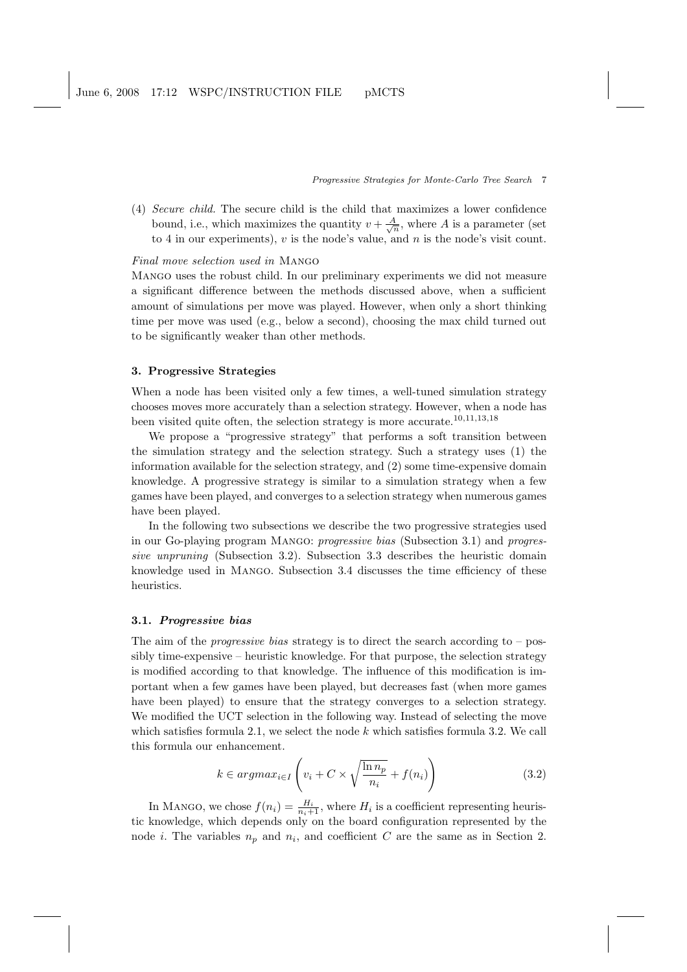(4) Secure child. The secure child is the child that maximizes a lower confidence bound, i.e., which maximizes the quantity  $v + \frac{A}{\sqrt{n}}$ , where A is a parameter (set to 4 in our experiments),  $v$  is the node's value, and  $n$  is the node's visit count.

### Final move selection used in Mango

Mango uses the robust child. In our preliminary experiments we did not measure a significant difference between the methods discussed above, when a sufficient amount of simulations per move was played. However, when only a short thinking time per move was used (e.g., below a second), choosing the max child turned out to be significantly weaker than other methods.

# 3. Progressive Strategies

When a node has been visited only a few times, a well-tuned simulation strategy chooses moves more accurately than a selection strategy. However, when a node has been visited quite often, the selection strategy is more accurate.<sup>10</sup>,11,13,<sup>18</sup>

We propose a "progressive strategy" that performs a soft transition between the simulation strategy and the selection strategy. Such a strategy uses (1) the information available for the selection strategy, and (2) some time-expensive domain knowledge. A progressive strategy is similar to a simulation strategy when a few games have been played, and converges to a selection strategy when numerous games have been played.

In the following two subsections we describe the two progressive strategies used in our Go-playing program Mango: progressive bias (Subsection 3.1) and progressive unpruning (Subsection 3.2). Subsection 3.3 describes the heuristic domain knowledge used in Mango. Subsection 3.4 discusses the time efficiency of these heuristics.

### 3.1. Progressive bias

The aim of the *progressive bias* strategy is to direct the search according to  $-$  possibly time-expensive – heuristic knowledge. For that purpose, the selection strategy is modified according to that knowledge. The influence of this modification is important when a few games have been played, but decreases fast (when more games have been played) to ensure that the strategy converges to a selection strategy. We modified the UCT selection in the following way. Instead of selecting the move which satisfies formula 2.1, we select the node  $k$  which satisfies formula 3.2. We call this formula our enhancement.

$$
k \in argmax_{i \in I} \left( v_i + C \times \sqrt{\frac{\ln n_p}{n_i}} + f(n_i) \right)
$$
 (3.2)

In MANGO, we chose  $f(n_i) = \frac{H_i}{n_i+1}$ , where  $H_i$  is a coefficient representing heuristic knowledge, which depends only on the board configuration represented by the node *i*. The variables  $n_p$  and  $n_i$ , and coefficient C are the same as in Section 2.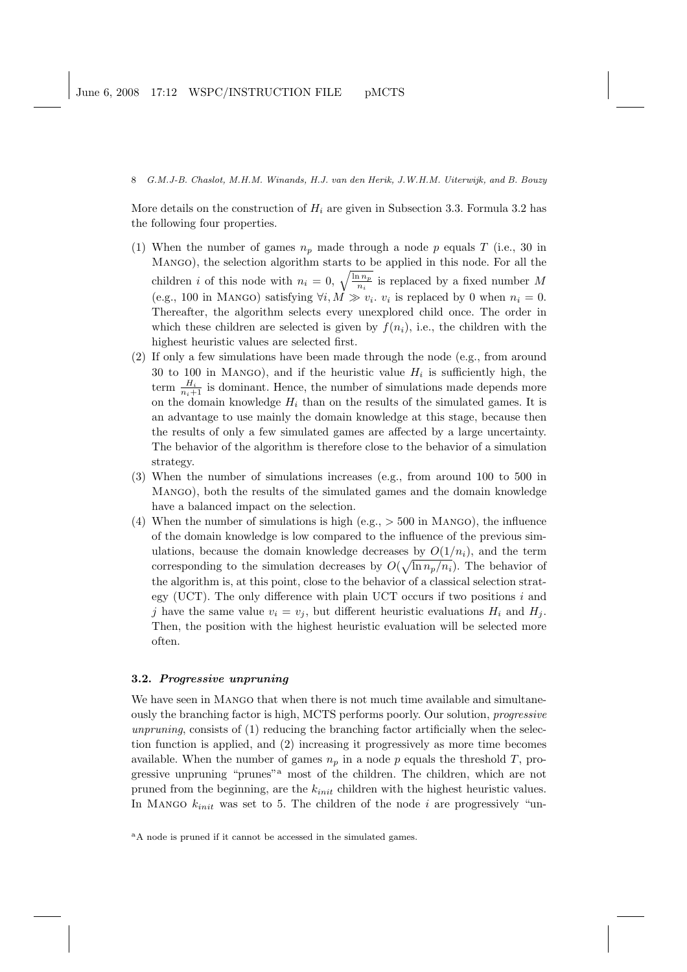More details on the construction of  $H_i$  are given in Subsection 3.3. Formula 3.2 has the following four properties.

- (1) When the number of games  $n_p$  made through a node p equals T (i.e., 30 in Mango), the selection algorithm starts to be applied in this node. For all the MANGO), the selection algorithm starts to be applied in this node. For all the children *i* of this node with  $n_i = 0$ ,  $\sqrt{\frac{\ln n_p}{n_i}}$  is replaced by a fixed number *M* (e.g., 100 in MANGO) satisfying  $\forall i, M \gg v_i$ .  $v_i$  is replaced by 0 when  $n_i = 0$ . Thereafter, the algorithm selects every unexplored child once. The order in which these children are selected is given by  $f(n_i)$ , i.e., the children with the highest heuristic values are selected first.
- (2) If only a few simulations have been made through the node (e.g., from around 30 to 100 in MANGO), and if the heuristic value  $H_i$  is sufficiently high, the term  $\frac{H_i}{n_i+1}$  is dominant. Hence, the number of simulations made depends more on the domain knowledge  $H_i$  than on the results of the simulated games. It is an advantage to use mainly the domain knowledge at this stage, because then the results of only a few simulated games are affected by a large uncertainty. The behavior of the algorithm is therefore close to the behavior of a simulation strategy.
- (3) When the number of simulations increases (e.g., from around 100 to 500 in Mango), both the results of the simulated games and the domain knowledge have a balanced impact on the selection.
- (4) When the number of simulations is high (e.g.,  $>$  500 in MANGO), the influence of the domain knowledge is low compared to the influence of the previous simulations, because the domain knowledge decreases by  $O(1/n_i)$ , and the term corresponding to the simulation decreases by  $O(\sqrt{\ln n_p/n_i})$ . The behavior of the algorithm is, at this point, close to the behavior of a classical selection strategy (UCT). The only difference with plain UCT occurs if two positions  $i$  and j have the same value  $v_i = v_j$ , but different heuristic evaluations  $H_i$  and  $H_j$ . Then, the position with the highest heuristic evaluation will be selected more often.

#### 3.2. Progressive unpruning

We have seen in Mango that when there is not much time available and simultaneously the branching factor is high, MCTS performs poorly. Our solution, progressive unpruning, consists of (1) reducing the branching factor artificially when the selection function is applied, and (2) increasing it progressively as more time becomes available. When the number of games  $n_p$  in a node p equals the threshold T, progressive unpruning "prunes"<sup>a</sup> most of the children. The children, which are not pruned from the beginning, are the  $k_{init}$  children with the highest heuristic values. In MANGO  $k_{init}$  was set to 5. The children of the node i are progressively "un-

<sup>a</sup>A node is pruned if it cannot be accessed in the simulated games.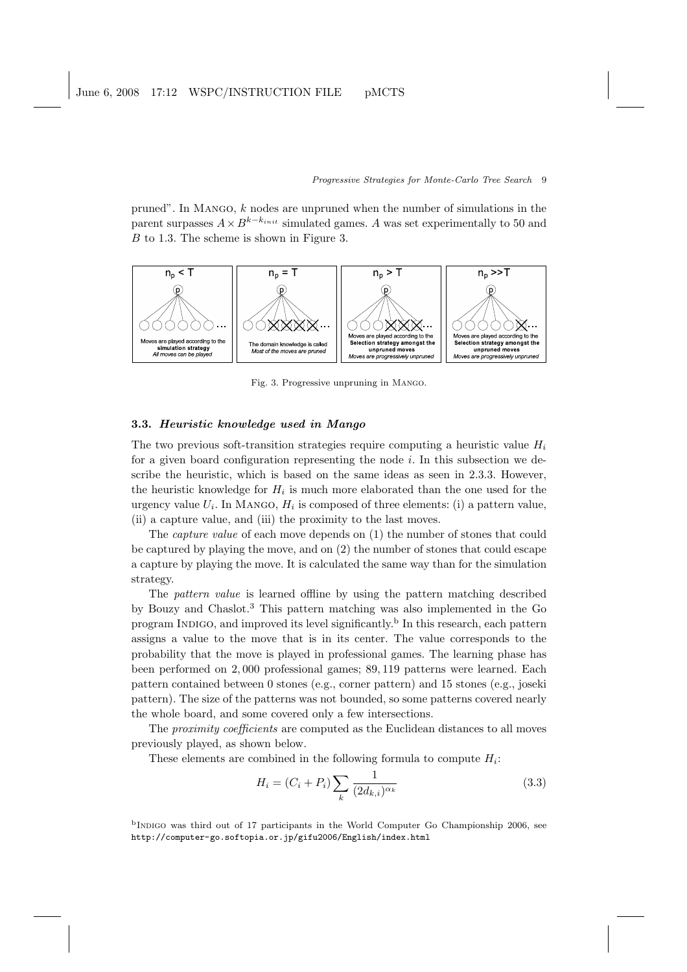pruned". In Mango, k nodes are unpruned when the number of simulations in the parent surpasses  $A \times B^{k-k_{init}}$  simulated games. A was set experimentally to 50 and B to 1.3. The scheme is shown in Figure 3.



Fig. 3. Progressive unpruning in Mango.

# 3.3. Heuristic knowledge used in Mango

The two previous soft-transition strategies require computing a heuristic value  $H_i$ for a given board configuration representing the node  $i$ . In this subsection we describe the heuristic, which is based on the same ideas as seen in 2.3.3. However, the heuristic knowledge for  $H_i$  is much more elaborated than the one used for the urgency value  $U_i$ . In MANGO,  $H_i$  is composed of three elements: (i) a pattern value, (ii) a capture value, and (iii) the proximity to the last moves.

The capture value of each move depends on (1) the number of stones that could be captured by playing the move, and on (2) the number of stones that could escape a capture by playing the move. It is calculated the same way than for the simulation strategy.

The pattern value is learned offline by using the pattern matching described by Bouzy and Chaslot.<sup>3</sup> This pattern matching was also implemented in the Go program INDIGO, and improved its level significantly.<sup>b</sup> In this research, each pattern assigns a value to the move that is in its center. The value corresponds to the probability that the move is played in professional games. The learning phase has been performed on 2, 000 professional games; 89, 119 patterns were learned. Each pattern contained between 0 stones (e.g., corner pattern) and 15 stones (e.g., joseki pattern). The size of the patterns was not bounded, so some patterns covered nearly the whole board, and some covered only a few intersections.

The proximity coefficients are computed as the Euclidean distances to all moves previously played, as shown below.

These elements are combined in the following formula to compute  $H_i$ :

$$
H_i = (C_i + P_i) \sum_k \frac{1}{(2d_{k,i})^{\alpha_k}}
$$
\n(3.3)

<sup>b</sup>INDIGO was third out of 17 participants in the World Computer Go Championship 2006, see http://computer-go.softopia.or.jp/gifu2006/English/index.html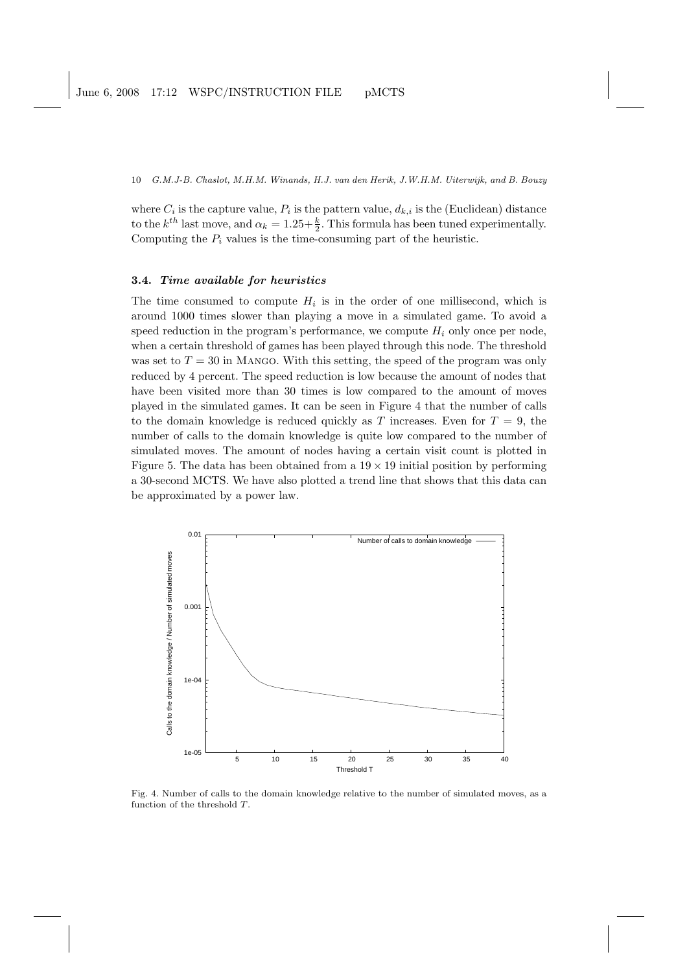where  $C_i$  is the capture value,  $P_i$  is the pattern value,  $d_{k,i}$  is the (Euclidean) distance to the  $k^{th}$  last move, and  $\alpha_k = 1.25 + \frac{k}{2}$ . This formula has been tuned experimentally. Computing the  $P_i$  values is the time-consuming part of the heuristic.

## 3.4. Time available for heuristics

The time consumed to compute  $H_i$  is in the order of one millisecond, which is around 1000 times slower than playing a move in a simulated game. To avoid a speed reduction in the program's performance, we compute  $H_i$  only once per node, when a certain threshold of games has been played through this node. The threshold was set to  $T = 30$  in MANGO. With this setting, the speed of the program was only reduced by 4 percent. The speed reduction is low because the amount of nodes that have been visited more than 30 times is low compared to the amount of moves played in the simulated games. It can be seen in Figure 4 that the number of calls to the domain knowledge is reduced quickly as T increases. Even for  $T = 9$ , the number of calls to the domain knowledge is quite low compared to the number of simulated moves. The amount of nodes having a certain visit count is plotted in Figure 5. The data has been obtained from a  $19 \times 19$  initial position by performing a 30-second MCTS. We have also plotted a trend line that shows that this data can be approximated by a power law.



Fig. 4. Number of calls to the domain knowledge relative to the number of simulated moves, as a function of the threshold T.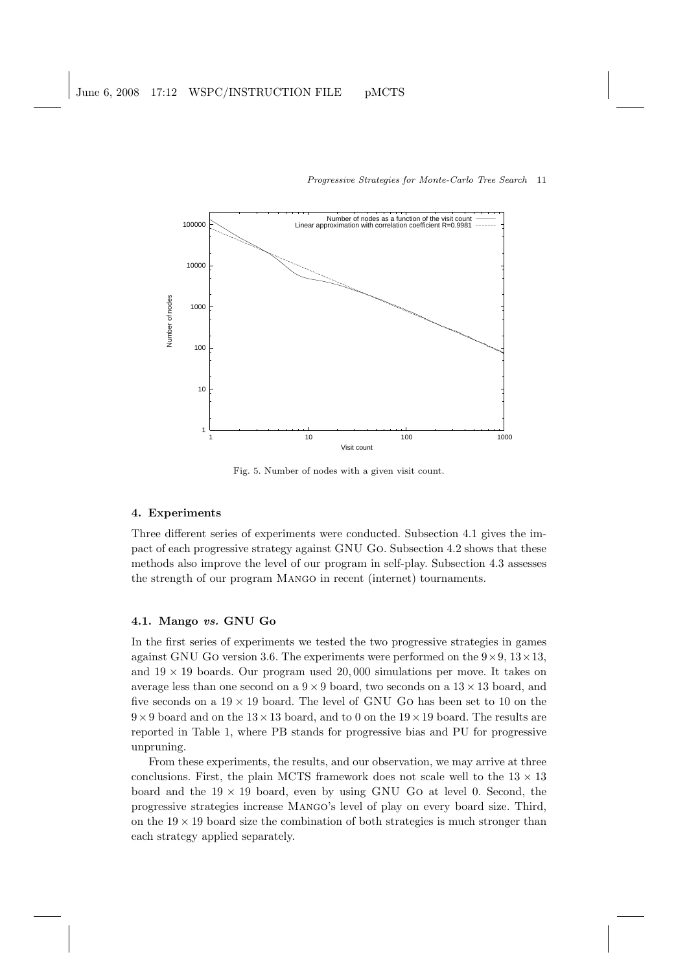

Fig. 5. Number of nodes with a given visit count.

# 4. Experiments

Three different series of experiments were conducted. Subsection 4.1 gives the impact of each progressive strategy against GNU Go. Subsection 4.2 shows that these methods also improve the level of our program in self-play. Subsection 4.3 assesses the strength of our program Mango in recent (internet) tournaments.

# 4.1. Mango vs. GNU Go

In the first series of experiments we tested the two progressive strategies in games against GNU GO version 3.6. The experiments were performed on the  $9 \times 9$ ,  $13 \times 13$ , and  $19 \times 19$  boards. Our program used 20,000 simulations per move. It takes on average less than one second on a  $9 \times 9$  board, two seconds on a  $13 \times 13$  board, and five seconds on a  $19 \times 19$  board. The level of GNU GO has been set to 10 on the  $9 \times 9$  board and on the  $13 \times 13$  board, and to 0 on the  $19 \times 19$  board. The results are reported in Table 1, where PB stands for progressive bias and PU for progressive unpruning.

From these experiments, the results, and our observation, we may arrive at three conclusions. First, the plain MCTS framework does not scale well to the  $13 \times 13$ board and the  $19 \times 19$  board, even by using GNU Go at level 0. Second, the progressive strategies increase Mango's level of play on every board size. Third, on the  $19 \times 19$  board size the combination of both strategies is much stronger than each strategy applied separately.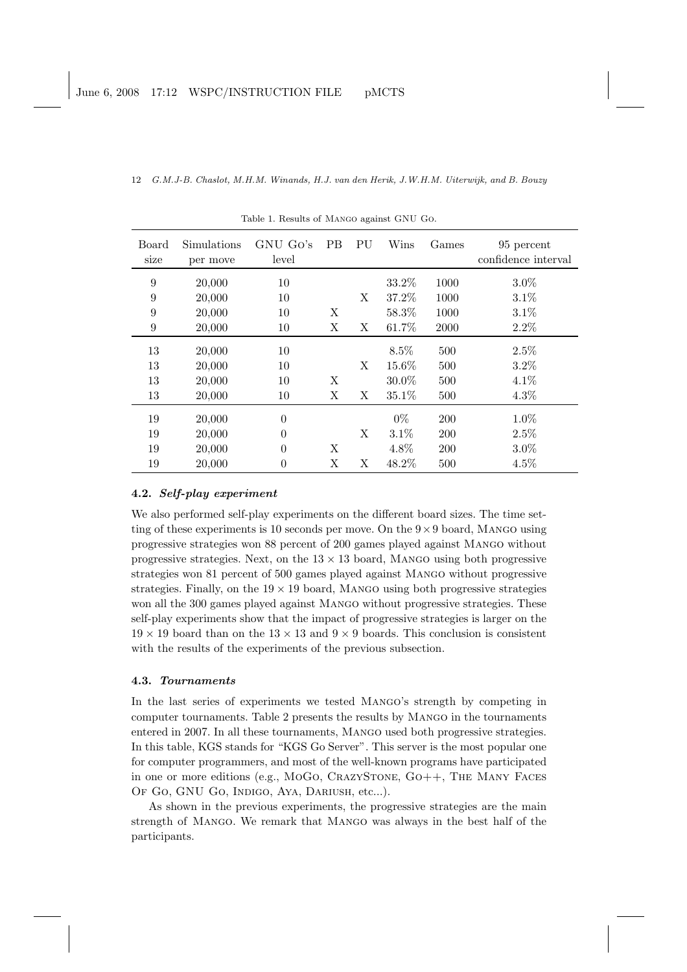| Board<br>size | Simulations<br>per move | GNU Go's<br>level | <b>PB</b> | PU | Wins   | Games      | 95 percent<br>confidence interval |
|---------------|-------------------------|-------------------|-----------|----|--------|------------|-----------------------------------|
| 9             | 20,000                  | 10                |           |    | 33.2%  | 1000       | $3.0\%$                           |
| 9             | 20,000                  | 10                |           | X  | 37.2%  | 1000       | 3.1%                              |
| 9             | 20,000                  | 10                | Χ         |    | 58.3%  | 1000       | 3.1%                              |
| 9             | 20,000                  | 10                | Χ         | X  | 61.7%  | 2000       | $2.2\%$                           |
| 13            | 20,000                  | 10                |           |    | 8.5%   | 500        | 2.5%                              |
| 13            | 20,000                  | 10                |           | X  | 15.6%  | 500        | $3.2\%$                           |
| 13            | 20,000                  | 10                | Χ         |    | 30.0%  | 500        | 4.1%                              |
| 13            | 20,000                  | 10                | Χ         | X  | 35.1\% | 500        | $4.3\%$                           |
| 19            | 20,000                  | $\Omega$          |           |    | $0\%$  | <b>200</b> | 1.0%                              |
| 19            | 20,000                  | $\theta$          |           | Χ  | 3.1%   | 200        | 2.5%                              |
| 19            | 20,000                  | $\Omega$          | Χ         |    | 4.8%   | <b>200</b> | $3.0\%$                           |
| 19            | 20,000                  | $\theta$          | Χ         | X  | 48.2%  | 500        | $4.5\%$                           |

Table 1. Results of Mango against GNU Go.

## 4.2. Self-play experiment

We also performed self-play experiments on the different board sizes. The time setting of these experiments is 10 seconds per move. On the  $9 \times 9$  board, MANGO using progressive strategies won 88 percent of 200 games played against Mango without progressive strategies. Next, on the  $13 \times 13$  board, MANGO using both progressive strategies won 81 percent of 500 games played against Mango without progressive strategies. Finally, on the  $19 \times 19$  board, MANGO using both progressive strategies won all the 300 games played against Mango without progressive strategies. These self-play experiments show that the impact of progressive strategies is larger on the  $19 \times 19$  board than on the  $13 \times 13$  and  $9 \times 9$  boards. This conclusion is consistent with the results of the experiments of the previous subsection.

# 4.3. Tournaments

In the last series of experiments we tested Mango's strength by competing in computer tournaments. Table 2 presents the results by Mango in the tournaments entered in 2007. In all these tournaments, Mango used both progressive strategies. In this table, KGS stands for "KGS Go Server". This server is the most popular one for computer programmers, and most of the well-known programs have participated in one or more editions (e.g., MoGo, CrazyStone, Go++, The Many Faces OF GO, GNU GO, INDIGO, AYA, DARIUSH, etc...).

As shown in the previous experiments, the progressive strategies are the main strength of Mango. We remark that Mango was always in the best half of the participants.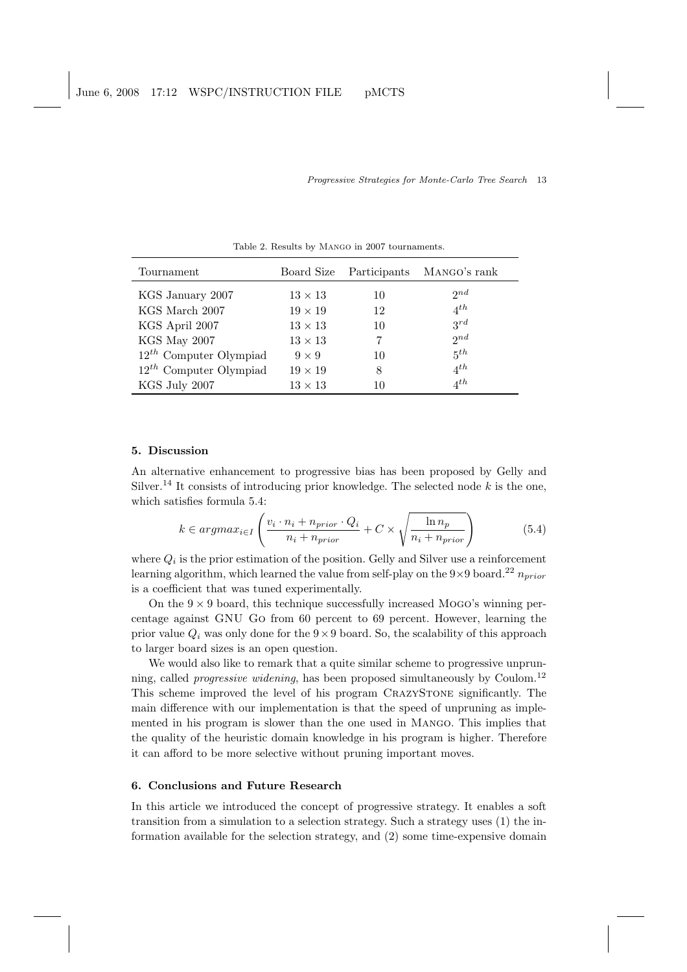| Tournament                  |                | Board Size Participants | MANGO's rank      |
|-----------------------------|----------------|-------------------------|-------------------|
| KGS January 2007            | $13 \times 13$ | 10                      | 2nd               |
| KGS March 2007              | $19 \times 19$ | 12                      | $4^{th}$          |
| KGS April 2007              | $13 \times 13$ | 10                      | $3^{rd}$          |
| KGS May 2007                | $13 \times 13$ |                         | 2nd               |
| $12^{th}$ Computer Olympiad | $9 \times 9$   | 10                      | $5^{th}$          |
| $12^{th}$ Computer Olympiad | $19 \times 19$ | 8                       | $4^{th}$          |
| KGS July 2007               | $13 \times 13$ | 10                      | $A$ <sup>th</sup> |

Table 2. Results by Mango in 2007 tournaments.

# 5. Discussion

An alternative enhancement to progressive bias has been proposed by Gelly and Silver.<sup>14</sup> It consists of introducing prior knowledge. The selected node  $k$  is the one, which satisfies formula 5.4:  $\ddot{\phantom{0}}$ s

$$
k \in argmax_{i \in I} \left( \frac{v_i \cdot n_i + n_{prior} \cdot Q_i}{n_i + n_{prior}} + C \times \sqrt{\frac{\ln n_p}{n_i + n_{prior}}} \right) \tag{5.4}
$$

where  $Q_i$  is the prior estimation of the position. Gelly and Silver use a reinforcement learning algorithm, which learned the value from self-play on the  $9 \times 9$  board.<sup>22</sup>  $n_{prior}$ is a coefficient that was tuned experimentally.

On the  $9 \times 9$  board, this technique successfully increased Mogo's winning percentage against GNU Go from 60 percent to 69 percent. However, learning the prior value  $Q_i$  was only done for the  $9 \times 9$  board. So, the scalability of this approach to larger board sizes is an open question.

We would also like to remark that a quite similar scheme to progressive unprunning, called progressive widening, has been proposed simultaneously by Coulom.<sup>12</sup> This scheme improved the level of his program CrazyStone significantly. The main difference with our implementation is that the speed of unpruning as implemented in his program is slower than the one used in Mango. This implies that the quality of the heuristic domain knowledge in his program is higher. Therefore it can afford to be more selective without pruning important moves.

## 6. Conclusions and Future Research

In this article we introduced the concept of progressive strategy. It enables a soft transition from a simulation to a selection strategy. Such a strategy uses (1) the information available for the selection strategy, and (2) some time-expensive domain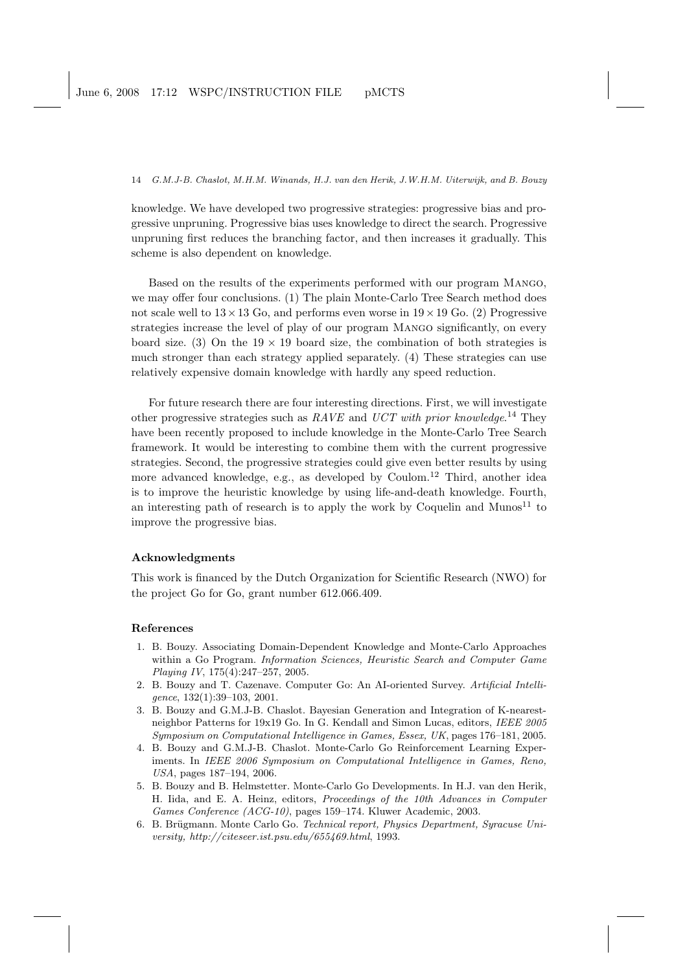knowledge. We have developed two progressive strategies: progressive bias and progressive unpruning. Progressive bias uses knowledge to direct the search. Progressive unpruning first reduces the branching factor, and then increases it gradually. This scheme is also dependent on knowledge.

Based on the results of the experiments performed with our program Mango, we may offer four conclusions. (1) The plain Monte-Carlo Tree Search method does not scale well to  $13 \times 13$  Go, and performs even worse in  $19 \times 19$  Go. (2) Progressive strategies increase the level of play of our program Mango significantly, on every board size. (3) On the  $19 \times 19$  board size, the combination of both strategies is much stronger than each strategy applied separately. (4) These strategies can use relatively expensive domain knowledge with hardly any speed reduction.

For future research there are four interesting directions. First, we will investigate other progressive strategies such as  $RAVE$  and  $UCT$  with prior knowledge.<sup>14</sup> They have been recently proposed to include knowledge in the Monte-Carlo Tree Search framework. It would be interesting to combine them with the current progressive strategies. Second, the progressive strategies could give even better results by using more advanced knowledge, e.g., as developed by Coulom.<sup>12</sup> Third, another idea is to improve the heuristic knowledge by using life-and-death knowledge. Fourth, an interesting path of research is to apply the work by Coquelin and Munos<sup>11</sup> to improve the progressive bias.

## Acknowledgments

This work is financed by the Dutch Organization for Scientific Research (NWO) for the project Go for Go, grant number 612.066.409.

## References

- 1. B. Bouzy. Associating Domain-Dependent Knowledge and Monte-Carlo Approaches within a Go Program. Information Sciences, Heuristic Search and Computer Game Playing IV, 175(4):247–257, 2005.
- 2. B. Bouzy and T. Cazenave. Computer Go: An AI-oriented Survey. Artificial Intelligence, 132(1):39–103, 2001.
- 3. B. Bouzy and G.M.J-B. Chaslot. Bayesian Generation and Integration of K-nearestneighbor Patterns for 19x19 Go. In G. Kendall and Simon Lucas, editors, IEEE 2005 Symposium on Computational Intelligence in Games, Essex, UK, pages 176–181, 2005.
- 4. B. Bouzy and G.M.J-B. Chaslot. Monte-Carlo Go Reinforcement Learning Experiments. In IEEE 2006 Symposium on Computational Intelligence in Games, Reno, USA, pages 187–194, 2006.
- 5. B. Bouzy and B. Helmstetter. Monte-Carlo Go Developments. In H.J. van den Herik, H. Iida, and E. A. Heinz, editors, Proceedings of the 10th Advances in Computer Games Conference (ACG-10), pages 159–174. Kluwer Academic, 2003.
- 6. B. Brügmann. Monte Carlo Go. Technical report, Physics Department, Syracuse University, http://citeseer.ist.psu.edu/655469.html, 1993.